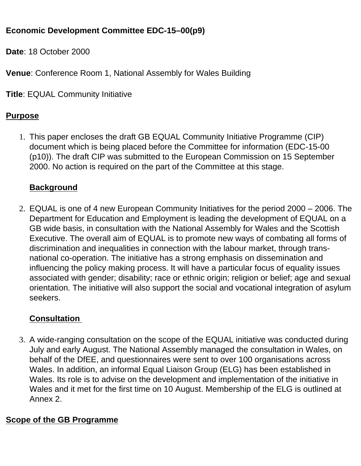## **Economic Development Committee EDC-15–00(p9)**

**Date**: 18 October 2000

**Venue**: Conference Room 1, National Assembly for Wales Building

**Title**: EQUAL Community Initiative

### **Purpose**

1. This paper encloses the draft GB EQUAL Community Initiative Programme (CIP) document which is being placed before the Committee for information (EDC-15-00 (p10)). The draft CIP was submitted to the European Commission on 15 September 2000. No action is required on the part of the Committee at this stage.

## **Background**

2. EQUAL is one of 4 new European Community Initiatives for the period 2000 – 2006. The Department for Education and Employment is leading the development of EQUAL on a GB wide basis, in consultation with the National Assembly for Wales and the Scottish Executive. The overall aim of EQUAL is to promote new ways of combating all forms of discrimination and inequalities in connection with the labour market, through transnational co-operation. The initiative has a strong emphasis on dissemination and influencing the policy making process. It will have a particular focus of equality issues associated with gender; disability; race or ethnic origin; religion or belief; age and sexual orientation. The initiative will also support the social and vocational integration of asylum seekers.

# **Consultation**

3. A wide-ranging consultation on the scope of the EQUAL initiative was conducted during July and early August. The National Assembly managed the consultation in Wales, on behalf of the DfEE, and questionnaires were sent to over 100 organisations across Wales. In addition, an informal Equal Liaison Group (ELG) has been established in Wales. Its role is to advise on the development and implementation of the initiative in Wales and it met for the first time on 10 August. Membership of the ELG is outlined at Annex 2.

## **Scope of the GB Programme**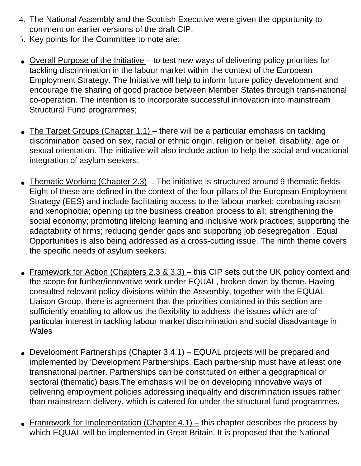- 4. The National Assembly and the Scottish Executive were given the opportunity to comment on earlier versions of the draft CIP.
- 5. Key points for the Committee to note are:
- Overall Purpose of the Initiative to test new ways of delivering policy priorities for tackling discrimination in the labour market within the context of the European Employment Strategy. The Initiative will help to inform future policy development and encourage the sharing of good practice between Member States through trans-national co-operation. The intention is to incorporate successful innovation into mainstream Structural Fund programmes;
- The Target Groups (Chapter 1.1) there will be a particular emphasis on tackling discrimination based on sex, racial or ethnic origin, religion or belief, disability, age or sexual orientation. The initiative will also include action to help the social and vocational integration of asylum seekers;
- Thematic Working (Chapter 2.3) -. The initiative is structured around 9 thematic fields Eight of these are defined in the context of the four pillars of the European Employment Strategy (EES) and include facilitating access to the labour market; combating racism and xenophobia; opening up the business creation process to all; strengthening the social economy; promoting lifelong learning and inclusive work practices; supporting the adaptability of firms; reducing gender gaps and supporting job desegregation . Equal Opportunities is also being addressed as a cross-cutting issue. The ninth theme covers the specific needs of asylum seekers.
- Framework for Action (Chapters 2.3 & 3.3) this CIP sets out the UK policy context and the scope for further/innovative work under EQUAL, broken down by theme. Having consulted relevant policy divisions within the Assembly, together with the EQUAL Liaison Group, there is agreement that the priorities contained in this section are sufficiently enabling to allow us the flexibility to address the issues which are of particular interest in tackling labour market discrimination and social disadvantage in **Wales**
- Development Partnerships (Chapter  $3.4.1$ ) EQUAL projects will be prepared and implemented by 'Development Partnerships. Each partnership must have at least one transnational partner. Partnerships can be constituted on either a geographical or sectoral (thematic) basis.The emphasis will be on developing innovative ways of delivering employment policies addressing inequality and discrimination issues rather than mainstream delivery, which is catered for under the structural fund programmes.
- Framework for Implementation (Chapter  $4.1$ ) this chapter describes the process by which EQUAL will be implemented in Great Britain. It is proposed that the National